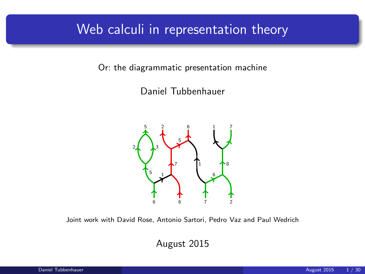### Web calculi in representation theory

Or: the diagrammatic presentation machine

Daniel Tubbenhauer



Joint work with David Rose, Antonio Sartori, Pedro Vaz and Paul Wedrich

August 2015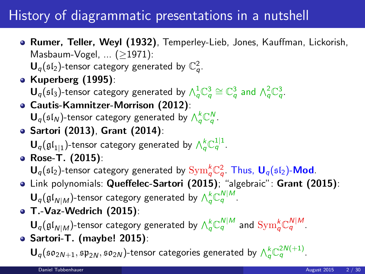# History of diagrammatic presentations in a nutshell

**• Rumer, Teller, Weyl (1932)**, Temperley-Lieb, Jones, Kauffman, Lickorish, Masbaum-Vogel, ... (≥1971):

 $\mathbf{U}_q(\mathfrak{sl}_2)$ -tensor category generated by  $\mathbb{C}_q^2$ .

- Kuperberg (1995): **-tensor category generated by**  $\wedge_q^1 \mathbb{C}_q^3 \cong \mathbb{C}_q^3$  **and**  $\wedge_q^2 \mathbb{C}_q^3$ **.**
- Cautis-Kamnitzer-Morrison (2012):  $\mathbf{U}_q(\mathfrak{sl}_N)$ -tensor category generated by  $\bigwedge_q^k \mathbb{C}_q^N$ .
- Sartori (2013), Grant (2014):  ${\mathbf U}_q(\mathfrak{gl}_{1|1})$ -tensor category generated by  $\bigwedge_q^k \mathbb{C}_q^{1|1}.$
- Rose-T. (2015):  ${\sf U}_q(\mathfrak{sl}_2)$ -tensor category generated by  $\mathrm{Sym}_q^k \mathbb{C}_q^2$ . Thus,  ${\sf U}_q(\mathfrak{sl}_2)$ -Mod.
- Link polynomials: Queffelec-Sartori (2015); "algebraic": Grant (2015):  ${\mathbf U}_q(\mathfrak{gl}_{N|M})$ -tensor category generated by  $\wedge_q^k \mathbb{C}_q^{N|M}.$
- T.-Vaz-Wedrich (2015):

 $\mathbf{U}_q(\mathfrak{gl}_{N|M})$ -tensor category generated by  $\wedge_q^k \mathbb{C}_q^{N|M}$  and  $\text{Sym}_q^k \mathbb{C}_q^{N|M}.$ Sartori-T. (maybe! 2015):

**(so<sub>2N+1</sub>, sp<sub>2N</sub>, so<sub>2N</sub>)-tensor categories generated by**  $\wedge_q^k$  **C<sup>2N(+1)</sup>.**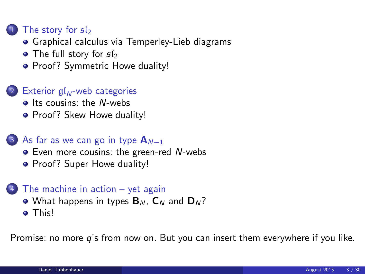### [The story for](#page-3-0)  $sI_2$

- [Graphical calculus via Temperley-Lieb diagrams](#page-3-0)
- [The full story for](#page-6-0)  $sI_2$
- [Proof? Symmetric Howe duality!](#page-9-0)

### 2 Exterior  $\mathfrak{gl}_N$ [-web categories](#page-13-0)

- $\bullet$  [Its cousins: the](#page-13-0) N-webs
- [Proof? Skew Howe duality!](#page-16-0)

#### 3 [As far as we can go in type](#page-18-0)  $A_{N-1}$

- [Even more cousins: the green-red](#page-18-0) N-webs
- [Proof? Super Howe duality!](#page-21-0)

#### <sup>4</sup> [The machine in action – yet again](#page-23-0)

- [What happens in types](#page-23-0)  $B_N$ ,  $C_N$  and  $D_N$ ?
- **•** [This!](#page-26-0)

Promise: no more q's from now on. But you can insert them everywhere if you like.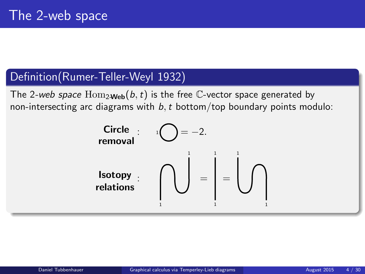### Definition(Rumer-Teller-Weyl 1932)

The 2-web space  $\text{Hom}_{2\text{Web}}(b, t)$  is the free C-vector space generated by non-intersecting arc diagrams with  $b, t$  bottom/top boundary points modulo:

<span id="page-3-0"></span>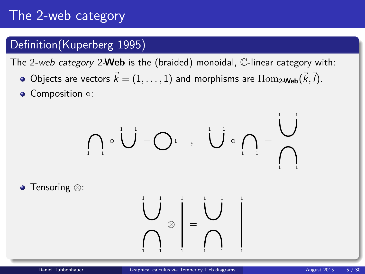# The 2-web category

### Definition(Kuperberg 1995)

The 2-web category 2-Web is the (braided) monoidal, C-linear category with:

- Objects are vectors  $\vec{k} = (1, \ldots, 1)$  and morphisms are  $\text{Hom}_{2\textbf{-Web}}(\vec{k}, \vec{l}).$
- Composition ○:

$$
\bigcap_{i=1}^n \circ \bigcup_{i=1}^{n} = \bigcap_{i=1}^n \dots, \bigcup_{i=1}^{n} \circ \bigcap_{i=1}^{n} = \bigcup_{i=1}^{n} \bigcap_{i=1}^{n} = \bigcap_{i=1}^{n} = \bigcap_{i=1}^{n} = \bigcap_{i=1}^{n} = \bigcap_{i=1}^{n} = \bigcap_{i=1}^{n} = \bigcap_{i=1}^{n} = \bigcap_{i=1}^{n} = \bigcap_{i=1}^{n} = \bigcap_{i=1}^{n} = \bigcap_{i=1}^{n} = \bigcap_{i=1}^{n} = \bigcap_{i=1}^{n} = \bigcap_{i=1}^{n} = \bigcap_{i=1}^{n} = \bigcap_{i=1}^{n} = \bigcap_{i=1}^{n} = \bigcap_{i=1}^{n} = \bigcap_{i=1}^{n} = \bigcap_{i=1}^{n} = \bigcap_{i=1}^{n} = \bigcap_{i=1}^{n} = \bigcap_{i=1}^{n} = \bigcap_{i=1}^{n} = \bigcap_{i=1}^{n} = \bigcap_{i=1}^{n} = \bigcap_{i=1}^{n} = \bigcap_{i=1}^{n} = \bigcap_{i=1}^{n} = \bigcap_{i=1}^{n} = \bigcap_{i=1}^{n} = \bigcap_{i=1}^{n} = \bigcap_{i=1}^{n} = \bigcap_{i=1}^{n} = \bigcap_{i=1}^{n} = \bigcap_{i=1}^{n} = \bigcap_{i=1}^{n} = \bigcap_{i=1}^{n} = \bigcap_{i=1}^{n} = \bigcap_{i=1}^{n} = \bigcap_{i=1}^{n} = \bigcap_{i=1}^{n} = \bigcap_{i=1}^{n} = \bigcap_{i=1}^{n} = \bigcap_{i=1}^{n} = \bigcap_{i=1}^{n} = \bigcap_{i=1}^{n} = \bigcap_{i=1}^{n} = \bigcap_{i=1}^{n} = \bigcap_{i=1}^{n} = \bigcap_{i=1}^{n} = \bigcap_{i=1}^{n} = \bigcap_{i=1}^{n} = \bigcap_{i=1}^{n} = \bigcap_{i=1}^{n} = \bigcap_{i=1}^{n} = \bigcap_{i=1}^{n} = \bigcap
$$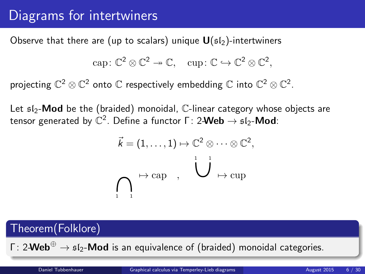# Diagrams for intertwiners

Observe that there are (up to scalars) unique  $U(s_1)$ -intertwiners

$$
\mathrm{cap} \colon \mathbb{C}^2 \otimes \mathbb{C}^2 \twoheadrightarrow \mathbb{C}, \quad \mathrm{cup} \colon \mathbb{C} \hookrightarrow \mathbb{C}^2 \otimes \mathbb{C}^2,
$$

projecting  $\mathbb{C}^2\otimes\mathbb{C}^2$  onto  $\mathbb C$  respectively embedding  $\mathbb C$  into  $\mathbb{C}^2\otimes\mathbb{C}^2$ .

Let  $512$ -**Mod** be the (braided) monoidal, C-linear category whose objects are tensor generated by  $\mathbb{C}^2.$  Define a functor Γ: 2-Web  $\rightarrow$   $\mathfrak{sl}_2\text{-}\mathsf{Mod}$ :

$$
\vec{k} = (1, ..., 1) \mapsto \mathbb{C}^2 \otimes \cdots \otimes \mathbb{C}^2,
$$
  

$$
\bigcap_{i=1}^n \mapsto \text{cap} \quad , \quad \bigcup_{i=1}^n \mapsto \text{cup}
$$

### Theorem(Folklore)

Γ: 2-Web<sup>⊕</sup>  $\rightarrow$   $5$ l<sub>2</sub>-Mod is an equivalence of (braided) monoidal categories.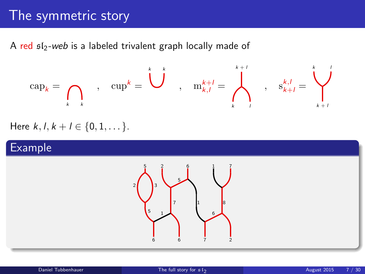## The symmetric story

A red  $sI_2$ -web is a labeled trivalent graph locally made of

$$
\mathrm{cap}_k = \bigcap_{k \quad k} \qquad , \quad \mathrm{cup}^k = \bigcup_{k \quad \ \ , \quad \ \ \mathrm{m}_{k,l}^{k+l} = \bigwedge_{k \quad \ \ }^{k+l} \qquad , \quad \ \ \mathrm{s}_{k+l}^{k,l} = \bigvee_{k+l}^{k}
$$

Here  $k, l, k+l \in \{0, 1, \dots\}$ .

### Example

<span id="page-6-0"></span>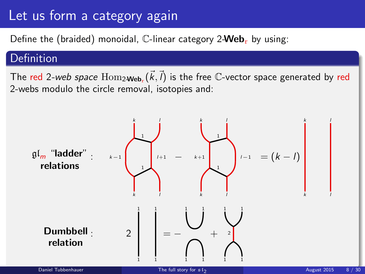# Let us form a category again

Define the (braided) monoidal,  $\mathbb{C}$ -linear category 2-Web<sub>r</sub> by using:

### Definition

The red 2-web space  $\mathrm{Hom}_{2\textbf{-Web}_r}(\vec{k},\vec{l})$  is the free  $\mathbb C$ -vector space generated by red 2-webs modulo the circle removal, isotopies and:

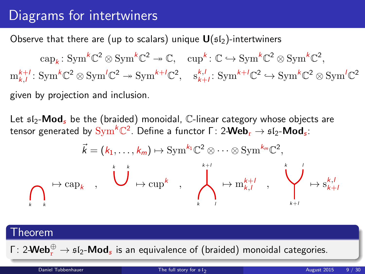# Diagrams for intertwiners

Observe that there are (up to scalars) unique  $U(s_1)$ -intertwiners

 $\text{cap}_k: \text{Sym}^k \mathbb{C}^2 \otimes \text{Sym}^k \mathbb{C}^2 \to \mathbb{C}, \quad \text{cup}^k: \mathbb{C} \hookrightarrow \text{Sym}^k \mathbb{C}^2 \otimes \text{Sym}^k \mathbb{C}^2,$  $m_{k,l}^{k+l}$ : Sym<sup>k</sup>C<sup>2</sup>  $\otimes$  Sym<sup> $'C^2 \rightarrow$ </sup> Sym<sup>k+*l*</sup>C<sup>2</sup>, s<sub>k+*l*</sub>: Sym<sup>k+*l*</sup>C<sup>2</sup>  $\hookrightarrow$  Sym<sup>k</sup>C<sup>2</sup>  $\otimes$  Sym<sup>*l*</sup>C<sup>2</sup> given by projection and inclusion.

Let  $512$ -**Mod**, be the (braided) monoidal, C-linear category whose objects are tensor generated by  $\mathrm{Sym}^k \mathbb{C}^2.$  Define a functor Γ $:$  2-Web $_\mathrm{r}$   $\rightarrow$   $\mathfrak{sl}_2\text{-}\mathsf{Mod}_s$ :

$$
\vec{k} = (k_1, \ldots, k_m) \mapsto \operatorname{Sym}^{k_1} \mathbb{C}^2 \otimes \cdots \otimes \operatorname{Sym}^{k_m} \mathbb{C}^2,
$$
\n
$$
\longmapsto \operatorname{cap}_k \qquad \qquad \downarrow \qquad \qquad \downarrow \qquad \downarrow \qquad \downarrow \qquad \downarrow \qquad \downarrow \qquad \downarrow \qquad \downarrow \qquad \downarrow \qquad \downarrow \qquad \downarrow \qquad \downarrow \qquad \downarrow \qquad \downarrow \qquad \downarrow \qquad \downarrow \qquad \downarrow \qquad \downarrow \qquad \downarrow \qquad \downarrow \qquad \downarrow \qquad \downarrow \qquad \downarrow \qquad \downarrow \qquad \downarrow \qquad \downarrow \qquad \downarrow \qquad \downarrow \qquad \downarrow \qquad \downarrow \qquad \downarrow \qquad \downarrow \qquad \downarrow \qquad \downarrow \qquad \downarrow \qquad \downarrow \qquad \downarrow \qquad \downarrow \qquad \downarrow \qquad \downarrow \qquad \downarrow \qquad \downarrow \qquad \downarrow \qquad \downarrow \qquad \downarrow \qquad \downarrow \qquad \downarrow \qquad \downarrow \qquad \downarrow \qquad \downarrow \qquad \downarrow \qquad \downarrow \qquad \downarrow \qquad \downarrow \qquad \downarrow \qquad \downarrow \qquad \downarrow \qquad \downarrow \qquad \downarrow \qquad \downarrow \qquad \downarrow \qquad \downarrow \qquad \downarrow \qquad \downarrow \qquad \downarrow \qquad \downarrow \qquad \downarrow \qquad \downarrow \qquad \downarrow \qquad \downarrow \qquad \downarrow \qquad \downarrow \qquad \downarrow \qquad \downarrow \qquad \downarrow \qquad \downarrow \qquad \downarrow \qquad \downarrow \qquad \downarrow \qquad \downarrow \qquad \downarrow \qquad \downarrow \qquad \downarrow \qquad \downarrow \qquad \downarrow \qquad \downarrow \qquad \downarrow \qquad \downarrow \qquad \downarrow \qquad \downarrow \qquad \downarrow \qquad \downarrow \qquad \downarrow \qquad \downarrow \qquad \downarrow \qquad \downarrow \qquad \downarrow \qquad \downarrow \qquad \downarrow \qquad \downarrow \qquad \downarrow \qquad \downarrow \qquad \downarrow \qquad \downarrow \qquad \downarrow \qquad \downarrow \qquad \downarrow \qquad \downarrow \qquad \downarrow \qquad \downarrow \qquad \downarrow \q
$$

#### Theorem

Γ: 2- $\mathsf{Web}^{\oplus}_{\rm r} \to \mathfrak{sl}_2\text{-}\mathsf{Mod}_{\mathfrak{s}}$  is an equivalence of (braided) monoidal categories.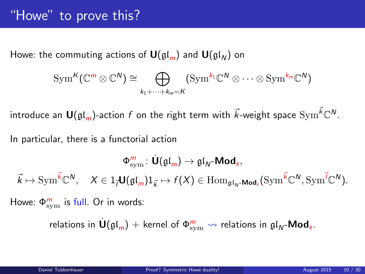# "Howe" to prove this?

Howe: the commuting actions of  $\mathbf{U}(\mathfrak{gl}_m)$  and  $\mathbf{U}(\mathfrak{gl}_N)$  on

$$
\operatorname{Sym}^K(\mathbb{C}^m \otimes \mathbb{C}^N) \cong \bigoplus_{k_1 + \dots + k_m = K} (\operatorname{Sym}^{k_1} \mathbb{C}^N \otimes \dots \otimes \operatorname{Sym}^{k_m} \mathbb{C}^N)
$$

introduce an  $\bm{\mathsf{U}}(\mathfrak{gl}_m)$ -action  $f$  on the right term with  $\vec{k}$ -weight space  $\mathrm{Sym}^{\vec{k}}\mathbb{C}^N.$ 

In particular, there is a functorial action

$$
\Phi_{\mathrm{sym}}^m\colon \dot{\textbf U}(\mathfrak{gl}_m)\to \mathfrak{gl}_N\textbf{-Mod}_s,\\ \vec k\mapsto \mathrm{Sym}^{\vec k}\mathbb{C}^N,\quad X\in 1_{\vec l}\textbf U(\mathfrak{gl}_m)1_{\vec k}\mapsto f(X)\in \mathrm{Hom}_{\mathfrak{gl}_N\textbf{-Mod}_s}(\mathrm{Sym}^{\vec k}\mathbb{C}^N,\mathrm{Sym}^{\vec l}\mathbb{C}^N).
$$

Howe:  $\Phi_{\text{sym}}^m$  is full. Or in words:

<span id="page-9-0"></span>relations in  $\dot{\textbf U}(\mathfrak{gl}_m)+$  kernel of  $\Phi_{\text{sym}}^m \leadsto$  relations in  $\mathfrak{gl}_N\text{-}\textbf{Mod}_s.$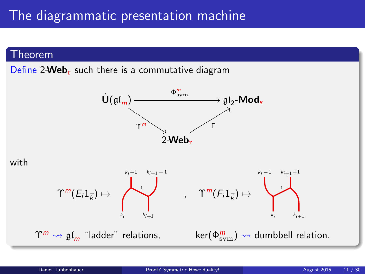#### Theorem

Define  $2$ -Web<sub>r</sub> such there is a commutative diagram





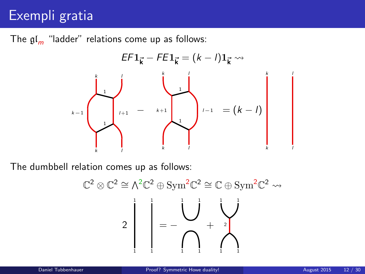# Exempli gratia

The  $\mathfrak{gl}_m$  "ladder" relations come up as follows:



The dumbbell relation comes up as follows:

$$
\mathbb{C}^2 \otimes \mathbb{C}^2 \cong \wedge^2 \mathbb{C}^2 \oplus \mathrm{Sym}^2 \mathbb{C}^2 \cong \mathbb{C} \oplus \mathrm{Sym}^2 \mathbb{C}^2 \rightsquigarrow
$$

$$
2 \begin{bmatrix} 1 & 1 & 1 \\ 1 & 1 & 1 \\ 1 & 1 & 1 \end{bmatrix} = - \begin{bmatrix} 1 & 1 & 1 \\ 1 & 1 & 1 \\ 1 & 1 & 1 \end{bmatrix}
$$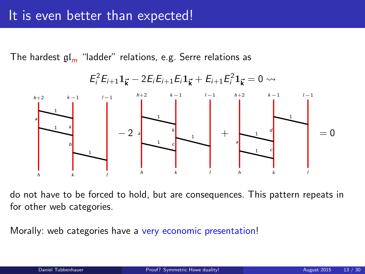The hardest  $\mathfrak{gl}_m$  "ladder" relations, e.g. Serre relations as



do not have to be forced to hold, but are consequences. This pattern repeats in for other web categories.

Morally: web categories have a very economic presentation!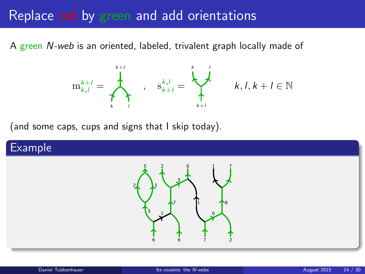# Replace red by green and add orientations

A green N-web is an oriented, labeled, trivalent graph locally made of



<span id="page-13-0"></span> $k, l, k+l \in \mathbb{N}$ 

(and some caps, cups and signs that I skip today).

### Example

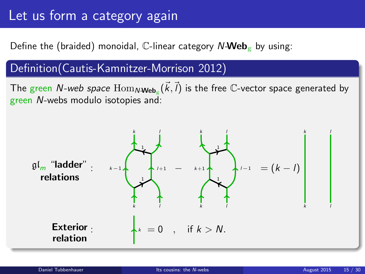# Let us form a category again

Define the (braided) monoidal,  $\mathbb C$ -linear category  $N$ -Web<sub>g</sub> by using:

### Definition(Cautis-Kamnitzer-Morrison 2012)

The green *N-web space*  $\operatorname{Hom}_{N\textbf{-Web}_\mathbb{E}}(\vec{k},\vec{l})$  is the free  $\mathbb{C}\text{-vector space generated by}$ green N-webs modulo isotopies and:

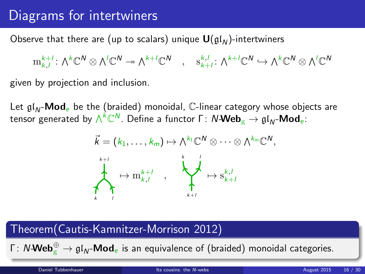# Diagrams for intertwiners

Observe that there are (up to scalars) unique  $\mathbf{U}(\mathfrak{gl}_N)$ -intertwiners

 $\mathrm{m}^{k+l}_{k,l}\colon \textstyle\bigwedge^{k}\mathbb{C}^{\textstyle \mathsf{N}}\otimes\textstyle\bigwedge^{l}\mathbb{C}^{\textstyle \mathsf{N}}\twoheadrightarrow\textstyle\bigwedge^{k+l}\mathbb{C}^{\textstyle \mathsf{N}}\quad ,\quad \mathrm{s}^{k,l}_{k+l}\colon \textstyle\bigwedge^{k+l}\mathbb{C}^{\textstyle \mathsf{N}}\hookrightarrow\textstyle\bigwedge^{k}\mathbb{C}^{\textstyle \mathsf{N}}\otimes\textstyle\bigwedge^{l}\mathbb{C}^{\textstyle \mathsf{N}}$ 

given by projection and inclusion.

Let  $\mathfrak{gl}_N$ -Mod<sub>e</sub> be the (braided) monoidal, C-linear category whose objects are tensor generated by  $\wedge^k\mathbb{C}^N.$  Define a functor Γ $: \mathsf{N}\text{-}\mathsf{Web}_{\mathrm{g}} \to \mathfrak{gl}_N\text{-}\mathsf{Mod}_{e} \mathbb{I}$ 



### Theorem(Cautis-Kamnitzer-Morrison 2012)

Γ: N-**Web** $_{\rm g}^{\oplus} \to {\mathfrak{gl}}_{\sf N}$ -**Mod** $_{\rm e}$  is an equivalence of (braided) monoidal categories.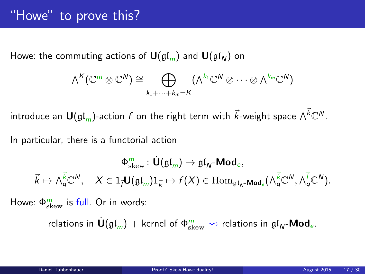Howe: the commuting actions of  $\mathbf{U}(\mathfrak{gl}_m)$  and  $\mathbf{U}(\mathfrak{gl}_N)$  on

$$
\wedge^K(\mathbb{C}^m\otimes \mathbb{C}^N)\cong \bigoplus_{k_1+\cdots+k_m=K}(\wedge^{k_1}\mathbb{C}^N\otimes\cdots\otimes \wedge^{k_m}\mathbb{C}^N)
$$

introduce an  $\bm{\mathsf{U}}(\mathfrak{gl}_m)$ -action  $f$  on the right term with  $\vec{k}$ -weight space  $\wedge^{\vec{k}}\mathbb{C}^N.$ 

In particular, there is a functorial action

$$
\Phi^m_{\mathrm{skew}}\colon \dot{\mathbf U}(\mathfrak{gl}_m)\to \mathfrak{gl}_N\text{-}\mathbf{Mod}_e,\\\vec k\mapsto \wedge^{\vec k}_q\mathbb C^N,\quad X\in 1_{\vec l}\mathbf U(\mathfrak{gl}_m)1_{\vec k}\mapsto f(X)\in \mathrm{Hom}_{\mathfrak{gl}_N\text{-}\mathbf{Mod}_e}(\wedge^{\vec k}_q\mathbb C^N,\wedge^{\vec l}_q\mathbb C^N).
$$

Howe:  $\Phi_{\text{skew}}^{m}$  is full. Or in words:

<span id="page-16-0"></span>relations in  $\dot{\sf U}(\frak{gl}_m)+$  kernel of  $\Phi^m_{\rm skew} \leadsto$  relations in  $\frak{gl}_N\text{-}{\sf Mod}_{e}.$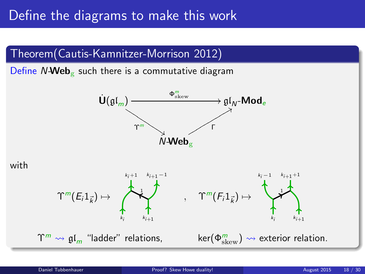## Define the diagrams to make this work

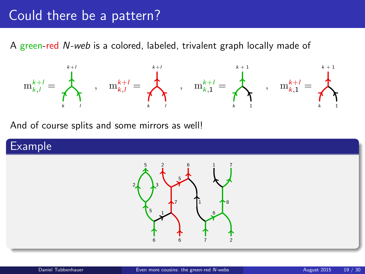# Could there be a pattern?

A green-red N-web is a colored, labeled, trivalent graph locally made of



And of course splits and some mirrors as well!

### Example

<span id="page-18-0"></span>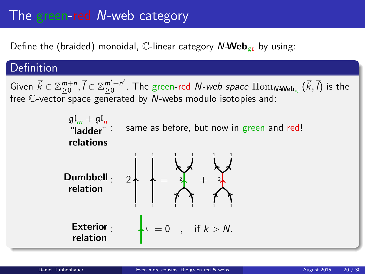# The green-red N-web category

Define the (braided) monoidal, C-linear category  $N\text{-Web}_{gr}$  by using:

### Definition

Given  $\vec{k} \in \mathbb{Z}_{\geq 0}^{m+n}, \vec{l} \in \mathbb{Z}_{\geq 0}^{m'+n'}$  $_{\geq0}^{m'+n'}$ . The green-red  $N$ -web space  $\mathrm{Hom}_{N\textbf{-Web}_{\mathrm{gr}}}(\vec{k},\vec{l})$  is the free C-vector space generated by N-webs modulo isotopies and:

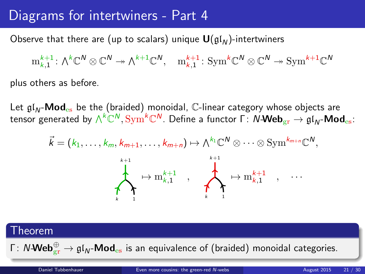### Diagrams for intertwiners - Part 4

Observe that there are (up to scalars) unique  $\mathbf{U}(\mathfrak{gl}_N)$ -intertwiners

 $\mathrm{m}^{k+1}_{k,1}\colon\wedge^k\mathbb{C}^N\otimes\mathbb{C}^N\twoheadrightarrow\wedge^{k+1}\mathbb{C}^N,\quad \mathrm{m}^{k+1}_{k,1}\colon\mathrm{Sym}^k\mathbb{C}^N\otimes\mathbb{C}^N\twoheadrightarrow\mathrm{Sym}^{k+1}\mathbb{C}^N$ 

plus others as before.

Let  $gV_{\text{M}}$ -Mod<sub>es</sub> be the (braided) monoidal, C-linear category whose objects are tensor generated by  $\wedge^k\mathbb C^N, \text{Sym}^k\mathbb C^N.$  Define a functor Γ:  $N\text{-}\mathsf{Web}_{\text{gr}} \to \mathfrak{gl}_N\text{-}\mathsf{Mod}_{\text{es}}$ :

$$
\vec{k} = (k_1, \ldots, k_m, k_{m+1}, \ldots, k_{m+n}) \mapsto \wedge^{k_1} \mathbb{C}^N \otimes \cdots \otimes \text{Sym}^{k_{m+n}} \mathbb{C}^N
$$
\n
$$
\downarrow \qquad \qquad \downarrow \qquad \qquad \downarrow \qquad \downarrow \qquad \downarrow \qquad \downarrow \qquad \downarrow \qquad \downarrow \qquad \downarrow \qquad \downarrow \qquad \downarrow \qquad \downarrow \qquad \downarrow \qquad \downarrow \qquad \downarrow \qquad \downarrow \qquad \downarrow \qquad \downarrow \qquad \downarrow \qquad \downarrow \qquad \downarrow \qquad \downarrow \qquad \downarrow \qquad \downarrow \qquad \downarrow \qquad \downarrow \qquad \downarrow \qquad \downarrow \qquad \downarrow \qquad \downarrow \qquad \downarrow \qquad \downarrow \qquad \downarrow \qquad \downarrow \qquad \downarrow \qquad \downarrow \qquad \downarrow \qquad \downarrow \qquad \downarrow \qquad \downarrow \qquad \downarrow \qquad \downarrow \qquad \downarrow \qquad \downarrow \qquad \downarrow \qquad \downarrow \qquad \downarrow \qquad \downarrow \qquad \downarrow \qquad \downarrow \qquad \downarrow \qquad \downarrow \qquad \downarrow \qquad \downarrow \qquad \downarrow \qquad \downarrow \qquad \downarrow \qquad \downarrow \qquad \downarrow \qquad \downarrow \qquad \downarrow \qquad \downarrow \qquad \downarrow \qquad \downarrow \qquad \downarrow \qquad \downarrow \qquad \downarrow \qquad \downarrow \qquad \downarrow \qquad \downarrow \qquad \downarrow \qquad \downarrow \qquad \downarrow \qquad \downarrow \qquad \downarrow \qquad \downarrow \qquad \downarrow \qquad \downarrow \qquad \downarrow \qquad \downarrow \qquad \downarrow \qquad \downarrow \qquad \downarrow \qquad \downarrow \qquad \downarrow \qquad \downarrow \qquad \downarrow \qquad \downarrow \qquad \downarrow \qquad \downarrow \qquad \downarrow \qquad \downarrow \qquad \downarrow \qquad \downarrow \qquad \downarrow \qquad \downarrow \qquad \downarrow \qquad \downarrow \qquad \downarrow \qquad \downarrow \qquad \downarrow \qquad \downarrow \qquad \downarrow \qquad \downarrow \qquad \downarrow \qquad \downarrow \qquad \downarrow \qquad \downarrow \qquad \downarrow \qquad \downarrow \qquad \downarrow \qquad
$$

### Theorem

Γ:  $N$ - $\mathsf{Web}_{\mathrm{gr}}^{\oplus} \to \mathfrak{gl}_N\text{-}\mathsf{Mod}_{\mathrm{es}}$  is an equivalence of (braided) monoidal categories.

,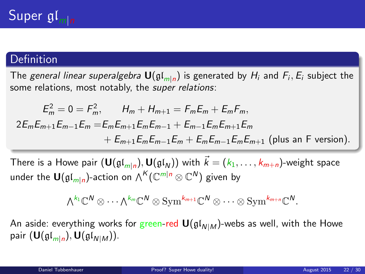### Definition

The *general linear superalgebra*  ${\bf U}(\mathfrak{gl}_{m|n})$  is generated by  $H_i$  and  $F_i, E_i$  subject the some relations, most notably, the *super relations*:

$$
E_m^2 = 0 = F_m^2, \qquad H_m + H_{m+1} = F_m E_m + E_m F_m,
$$
  
\n
$$
2E_m E_{m+1} E_{m-1} E_m = E_m E_{m+1} E_m E_{m-1} + E_{m-1} E_m E_{m+1} E_m
$$
  
\n
$$
+ E_{m+1} E_m E_{m-1} E_m + E_m E_{m-1} E_m E_{m+1}
$$
 (plus an F version).

There is a Howe pair  $({\bf U}(\mathfrak{gl}_{m|n}), {\bf U}(\mathfrak{gl}_N))$  with  $\vec{k} = (k_1, \ldots, k_{m+n})$ -weight space under the  $\textsf{U}(\mathfrak{gl}_{m|n})$ -action on  $\wedge^K(\mathbb{C}^{m|n} \otimes \mathbb{C}^N)$  given by

<span id="page-21-0"></span>
$$
\textstyle{\bigwedge}^{k_1}\mathbb{C}^N\otimes\cdots\textstyle{\bigwedge}^{k_m}\mathbb{C}^N\otimes\mathrm{Sym}^{k_{m+1}}\mathbb{C}^N\otimes\cdots\otimes\mathrm{Sym}^{k_{m+n}}\mathbb{C}^N.
$$

An aside: everything works for green-red  $U(gI_{N|M})$ -webs as well, with the Howe pair  $(\mathsf{U}(\mathfrak{gl}_{m|n}),\mathsf{U}(\mathfrak{gl}_{N|M})).$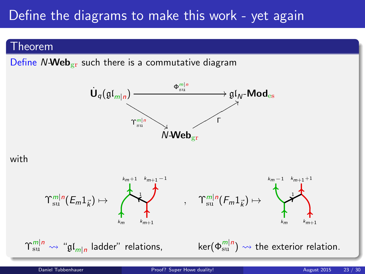# Define the diagrams to make this work - yet again

#### Theorem

Define  $N$ -Web<sub>gr</sub> such there is a commutative diagram



#### with

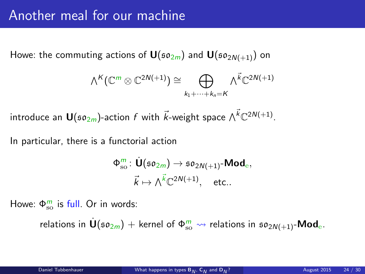Howe: the commuting actions of  $\mathbf{U}(\mathfrak{so}_{2m})$  and  $\mathbf{U}(\mathfrak{so}_{2N(+1)})$  on

$$
\textstyle \bigwedge^K(\mathbb{C}^m\otimes \mathbb{C}^{2N(+1)})\cong \bigoplus\limits_{k_1+\cdots+k_n=K}\textstyle\bigwedge^{\vec{k}}\mathbb{C}^{2N(+1)}
$$

introduce an  $\mathbf{U}(\mathfrak{so}_{2m})$ -action  $f$  with  $\vec{k}$ -weight space  $\wedge^{\vec{k}} \mathbb{C}^{2N(+1)}$ .

In particular, there is a functorial action

<span id="page-23-0"></span>
$$
\begin{aligned}\n\Phi_{\rm so}^m\colon\dot{\mathbf U}(\mathfrak{so}_{2m}) &\to \mathfrak{so}_{2N(+1)}\text{-}\mathbf{Mod}_{\mathrm{e}},\\ \n\vec k &\mapsto \wedge^{\vec k}\mathbb{C}^{2N(+1)},\quad \text{etc.}.\n\end{aligned}
$$

Howe:  $\Phi_{\rm{so}}^{m}$  is full. Or in words:

relations in  $\dot{\sf U}(\frak{so}_{2m})+$  kernel of  $\Phi^m_{\rm so} \leadsto$  relations in  $\frak{so}_{2N(+1)}\text{-}{\sf Mod}_{\rm e}.$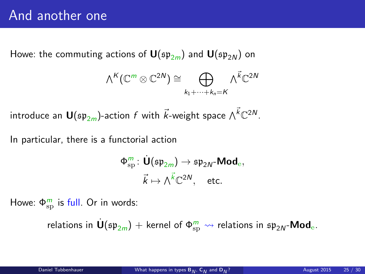Howe: the commuting actions of  $U(\mathfrak{sp}_{2m})$  and  $U(\mathfrak{sp}_{2N})$  on

$$
\textstyle \bigwedge^K(\mathbb{C}^m\otimes \mathbb{C}^{2N})\cong \bigoplus\limits_{k_1+\cdots+k_n=K}\textstyle \bigwedge^{\vec{k}}\mathbb{C}^{2N}
$$

introduce an  $\mathsf{U}(\mathfrak{sp}_{2m})$ -action  $f$  with  $\vec{k}$ -weight space  $\wedge^{\vec{k}} \mathbb{C}^{2N}.$ 

In particular, there is a functorial action

$$
\begin{aligned}\n\Phi_{\text{sp}}^m: \mathop{\dot{\mathsf{U}}}(\mathfrak{sp}_{2m}) &\rightarrow \mathfrak{sp}_{2N}\text{-}\mathsf{Mod}_e, \\
\vec{k} &\mapsto \wedge^{\vec{k}} \mathbb{C}^{2N}, \quad \text{etc.}\n\end{aligned}
$$

Howe:  $\Phi_{\mathrm{sp}}^{m}$  is full. Or in words:

relations in  $\dot{\sf U}(\mathfrak{sp}_{2m})+$  kernel of  $\Phi^m_\text{sp}\rightsquigarrow$  relations in  $\mathfrak{sp}_{2N}$ -Mod $_\text{e}$ .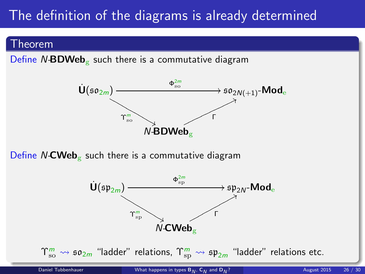# The definition of the diagrams is already determined

#### Theorem

Define  $N-\text{BDWeb}_{g}$  such there is a commutative diagram



Define  $N\text{-}CWeb_{\mathcal{C}}$  such there is a commutative diagram

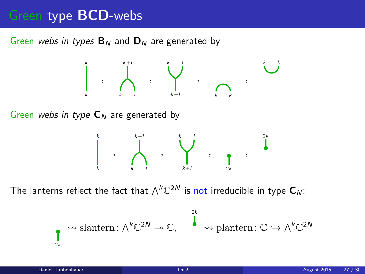## Green type **BCD**-webs

Green webs in types  $B_N$  and  $D_N$  are generated by

k k , k +l k l , k +l k l , k k , k k

Green webs in type  $C_N$  are generated by

<span id="page-26-0"></span>

The lanterns reflect the fact that  $\wedge^k \mathbb{C}^{2N}$  is not irreducible in type  $\textsf{C}_N$ :

$$
\underset{2k}{\bullet} \rightsquigarrow \text{slantern: } \wedge^k \mathbb{C}^{2N} \twoheadrightarrow \mathbb{C}, \qquad \overset{2k}{\bullet} \rightsquigarrow \text{plantern: } \mathbb{C} \hookrightarrow \wedge^k \mathbb{C}^{2N}
$$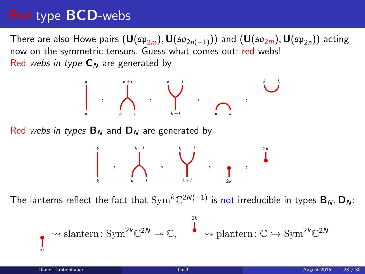# Red type BCD-webs

There are also Howe pairs  $(\mathbf{U}(\mathfrak{sp}_{2m}),\mathbf{U}(\mathfrak{so}_{2n(+1)}))$  and  $(\mathbf{U}(\mathfrak{so}_{2m}),\mathbf{U}(\mathfrak{sp}_{2n}))$  acting now on the symmetric tensors. Guess what comes out: red webs! Red webs in type  $C_N$  are generated by



The lanterns reflect the fact that  $\mathrm{Sym}^k \mathbb{C}^{2N(+1)}$  is not irreducible in types  $\mathbf{B}_N, \mathbf{D}_N$ :

$$
\bullet \quad \leadsto \text{slantern:}\ \text{Sym}^{2k}\mathbb{C}^{2N} \twoheadrightarrow \mathbb{C}, \quad \overset{^{2k}}{\bullet} \leadsto \text{plantern:}\ \mathbb{C} \hookrightarrow \text{Sym}^{2k}\mathbb{C}^{2N}
$$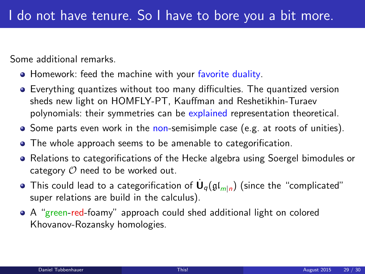Some additional remarks.

- **Homework: feed the machine with your favorite duality.**
- Everything quantizes without too many difficulties. The quantized version sheds new light on HOMFLY-PT, Kauffman and Reshetikhin-Turaev polynomials: their symmetries can be explained representation theoretical.
- Some parts even work in the non-semisimple case (e.g. at roots of unities).
- The whole approach seems to be amenable to categorification.
- Relations to categorifications of the Hecke algebra using Soergel bimodules or category  $O$  need to be worked out.
- This could lead to a categorification of  $\dot{\mathsf{U}}_q(\mathfrak{gl}_{m|n})$  (since the "complicated" super relations are build in the calculus).
- A "green-red-foamy" approach could shed additional light on colored Khovanov-Rozansky homologies.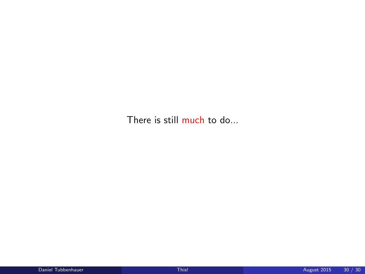There is still much to do...